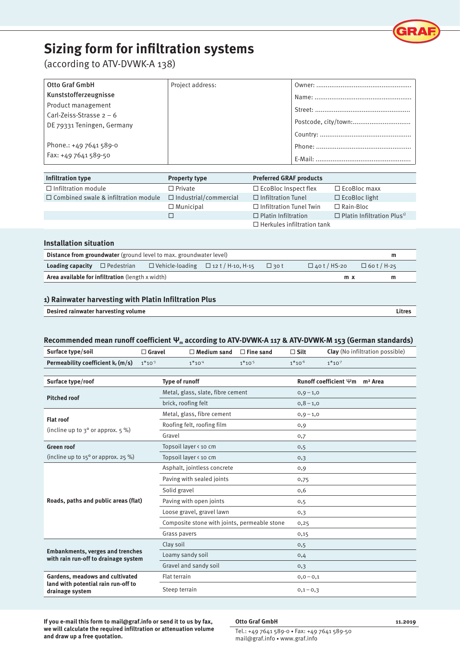# **Sizing form for infiltration systems**

(according to ATV-DVWK-A 138)

| Otto Graf GmbH             | Project address: |  |
|----------------------------|------------------|--|
| Kunststofferzeugnisse      |                  |  |
| Product management         |                  |  |
| Carl-Zeiss-Strasse $2 - 6$ |                  |  |
| DE 79331 Teningen, Germany |                  |  |
|                            |                  |  |
| Phone.: +49 7641 589-0     |                  |  |
| Fax: +49 7641 589-50       |                  |  |

| Infiltration type                           | <b>Property type</b>         | <b>Preferred GRAF products</b>    |                                               |
|---------------------------------------------|------------------------------|-----------------------------------|-----------------------------------------------|
| $\Box$ Infiltration module                  | $\Box$ Private               | $\Box$ EcoBloc Inspect flex       | $\Box$ EcoBloc maxx                           |
| $\Box$ Combined swale & infiltration module | $\Box$ Industrial/commercial | $\Box$ Infiltration Tunel         | $\Box$ EcoBloc light                          |
|                                             | $\Box$ Municipal             | $\Box$ Infiltration Tunel Twin    | $\Box$ Rain-Bloc                              |
|                                             |                              | $\Box$ Platin Infiltration        | $\Box$ Platin Infiltration Plus <sup>1)</sup> |
|                                             |                              | $\Box$ Herkules infiltration tank |                                               |

### **Installation situation**

| <b>Distance from groundwater</b> (ground level to max. groundwater level)<br>m |  |  |                                                 |             |                        |                    |
|--------------------------------------------------------------------------------|--|--|-------------------------------------------------|-------------|------------------------|--------------------|
| <b>Loading capacity</b> $\Box$ Pedestrian                                      |  |  | $\Box$ Vehicle-loading $\Box$ 12 t / H-10, H-15 | $\Box$ 30 t | $\square$ 40 t / HS-20 | $\Box$ 60 t / H-25 |
| <b>Area available for infiltration</b> (length x width)                        |  |  |                                                 |             | m x                    | m                  |

### **1) Rainwater harvesting with Platin Infiltration Plus**

| <b>Litres</b> |
|---------------|
|               |

### **Recommended mean runoff coefficient Ψm according to ATV-DVWK-A 117 & ATV-DVWK-M 153 (German standards)**

| Surface type/soil                                                                                | $\Box$ Gravel | $\Box$ Medium sand                           | $\Box$ Fine sand | $\Box$ Silt | <b>Clay</b> (No infiltration possible)    |
|--------------------------------------------------------------------------------------------------|---------------|----------------------------------------------|------------------|-------------|-------------------------------------------|
| Permeability coefficient $k_f(m/s)$                                                              | $1*10^{3}$    | $1*10-4$                                     | $1*10^{-5}$      | $1*10^{-6}$ | $1*10^{7}$                                |
|                                                                                                  |               |                                              |                  |             |                                           |
| Surface type/roof                                                                                |               | <b>Type of runoff</b>                        |                  |             | Runoff coefficient Ψm m <sup>2</sup> Area |
| <b>Pitched roof</b>                                                                              |               | Metal, glass, slate, fibre cement            |                  | $0,9-1,0$   |                                           |
|                                                                                                  |               | brick, roofing felt                          |                  | $0,8 - 1,0$ |                                           |
| <b>Flat roof</b>                                                                                 |               | Metal, glass, fibre cement                   |                  | $0,9-1,0$   |                                           |
| (incline up to 3° or approx. 5 %)                                                                |               | Roofing felt, roofing film                   |                  | 0,9         |                                           |
|                                                                                                  |               | Gravel                                       |                  | 0,7         |                                           |
| Green roof                                                                                       |               | Topsoil layer < 10 cm                        |                  | 0,5         |                                           |
| (incline up to $15^{\circ}$ or approx. 25 %)                                                     |               | Topsoil layer < 10 cm                        |                  | 0,3         |                                           |
|                                                                                                  |               | Asphalt, jointless concrete                  |                  | 0,9         |                                           |
|                                                                                                  |               | Paving with sealed joints                    |                  | 0,75        |                                           |
|                                                                                                  |               | Solid gravel                                 |                  | 0,6         |                                           |
| Roads, paths and public areas (flat)                                                             |               | Paving with open joints                      |                  | 0,5         |                                           |
|                                                                                                  |               | Loose gravel, gravel lawn                    |                  | 0,3         |                                           |
|                                                                                                  |               | Composite stone with joints, permeable stone |                  | 0,25        |                                           |
|                                                                                                  |               | Grass pavers                                 |                  | 0,15        |                                           |
| <b>Embankments, verges and trenches</b><br>with rain run-off to drainage system                  |               | Clay soil                                    |                  | 0,5         |                                           |
|                                                                                                  |               | Loamy sandy soil                             |                  | 0,4         |                                           |
|                                                                                                  |               | Gravel and sandy soil                        |                  | 0,3         |                                           |
| <b>Gardens, meadows and cultivated</b><br>land with potential rain run-off to<br>drainage system |               | Flat terrain                                 |                  | $0,0-0,1$   |                                           |
|                                                                                                  |               | Steep terrain                                |                  | $0,1-0,3$   |                                           |

**If you e-mail this form to mail@graf.info or send it to us by fax, we will calculate the required infiltration or attenuation volume and draw up a free quotation.**

### **Otto Graf GmbH 11.2019**

Tel.: +49 7641 589-0 • Fax: +49 7641 589-50 mail@graf.info • www.graf.info